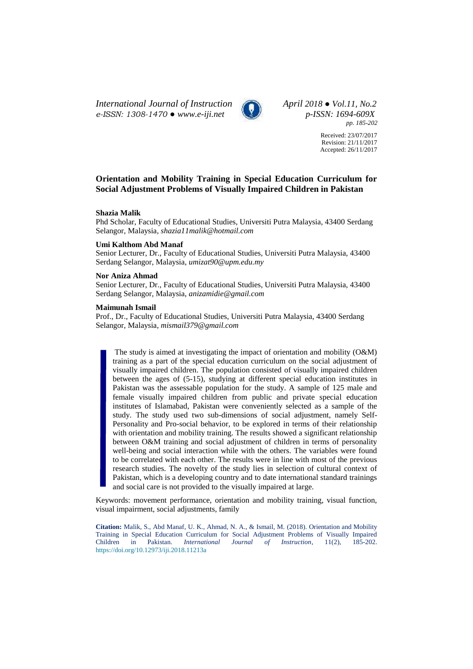*International Journal of Instruction April 2018 ● Vol.11, No.2 e-ISSN: 1308-1470 ● [www.e-iji.net](http://www.e-iji.net/) p-ISSN: 1694-609X*



*pp. 185-202*

Received: 23/07/2017 Revision: 21/11/2017 Accepted: 26/11/2017

# **Orientation and Mobility Training in Special Education Curriculum for Social Adjustment Problems of Visually Impaired Children in Pakistan**

### **Shazia Malik**

Phd Scholar, Faculty of Educational Studies, Universiti Putra Malaysia, 43400 Serdang Selangor, Malaysia, *shazia11malik@hotmail.com*

# **Umi Kalthom Abd Manaf**

Senior Lecturer, Dr., Faculty of Educational Studies, Universiti Putra Malaysia, 43400 Serdang Selangor, Malaysia, *umizat90@upm.edu.my*

## **Nor Aniza Ahmad**

Senior Lecturer, Dr., Faculty of Educational Studies, Universiti Putra Malaysia, 43400 Serdang Selangor, Malaysia, *anizamidie@gmail.com*

## **Maimunah Ismail**

Prof., Dr., Faculty of Educational Studies, Universiti Putra Malaysia, 43400 Serdang Selangor, Malaysia, *mismail379@gmail.com*

The study is aimed at investigating the impact of orientation and mobility (O&M) training as a part of the special education curriculum on the social adjustment of visually impaired children. The population consisted of visually impaired children between the ages of (5-15), studying at different special education institutes in Pakistan was the assessable population for the study. A sample of 125 male and female visually impaired children from public and private special education institutes of Islamabad, Pakistan were conveniently selected as a sample of the study. The study used two sub-dimensions of social adjustment, namely Self-Personality and Pro-social behavior, to be explored in terms of their relationship with orientation and mobility training. The results showed a significant relationship between O&M training and social adjustment of children in terms of personality well-being and social interaction while with the others. The variables were found to be correlated with each other. The results were in line with most of the previous research studies. The novelty of the study lies in selection of cultural context of Pakistan, which is a developing country and to date international standard trainings and social care is not provided to the visually impaired at large.

Keywords: movement performance, orientation and mobility training, visual function, visual impairment, social adjustments, family

**Citation:** Malik, S., Abd Manaf, U. K., Ahmad, N. A., & Ismail, M. (2018). Orientation and Mobility Training in Special Education Curriculum for Social Adjustment Problems of Visually Impaired Children in Pakistan. *International Journal of Instruction*, 11(2), 185-202. Children in Pakistan. *International Journal of Instruction*, 11(2), <https://doi.org/10.12973/iji.2018.11213a>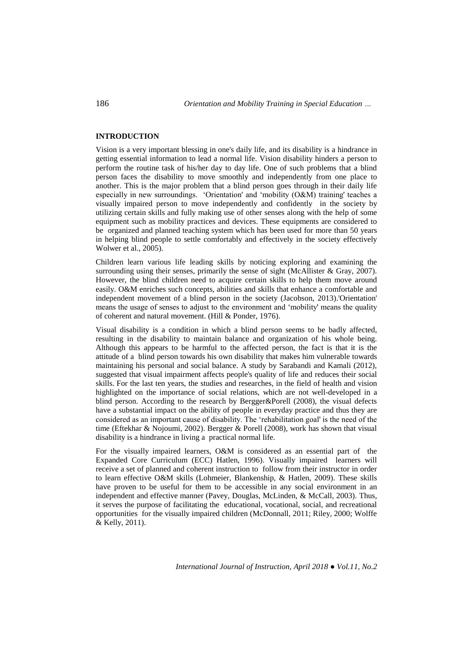# **INTRODUCTION**

Vision is a very important blessing in one's daily life, and its disability is a hindrance in getting essential information to lead a normal life. Vision disability hinders a person to perform the routine task of his/her day to day life. One of such problems that a blind person faces the disability to move smoothly and independently from one place to another. This is the major problem that a blind person goes through in their daily life especially in new surroundings. 'Orientation' and 'mobility (O&M) training' teaches a visually impaired person to move independently and confidently in the society by utilizing certain skills and fully making use of other senses along with the help of some equipment such as mobility practices and devices. These equipments are considered to be organized and planned teaching system which has been used for more than 50 years in helping blind people to settle comfortably and effectively in the society effectively Wolwer et al., 2005).

Children learn various life leading skills by noticing exploring and examining the surrounding using their senses, primarily the sense of sight (McAllister  $\&$  Gray, 2007). However, the blind children need to acquire certain skills to help them move around easily. O&M enriches such concepts, abilities and skills that enhance a comfortable and independent movement of a blind person in the society (Jacobson, 2013).'Orientation' means the usage of senses to adjust to the environment and 'mobility' means the quality of coherent and natural movement. (Hill & Ponder, 1976).

Visual disability is a condition in which a blind person seems to be badly affected, resulting in the disability to maintain balance and organization of his whole being. Although this appears to be harmful to the affected person, the fact is that it is the attitude of a blind person towards his own disability that makes him vulnerable towards maintaining his personal and social balance. A study by Sarabandi and Kamali (2012), suggested that visual impairment affects people's quality of life and reduces their social skills. For the last ten years, the studies and researches, in the field of health and vision highlighted on the importance of social relations, which are not well-developed in a blind person. According to the research by Bergger&Porell (2008), the visual defects have a substantial impact on the ability of people in everyday practice and thus they are considered as an important cause of disability. The 'rehabilitation goal' is the need of the time (Eftekhar & Nojoumi, 2002). Bergger & Porell (2008), work has shown that visual disability is a hindrance in living a practical normal life.

For the visually impaired learners, O&M is considered as an essential part of the Expanded Core Curriculum (ECC) Hatlen, 1996). Visually impaired learners will receive a set of planned and coherent instruction to follow from their instructor in order to learn effective O&M skills (Lohmeier, Blankenship, & Hatlen, 2009). These skills have proven to be useful for them to be accessible in any social environment in an independent and effective manner (Pavey, Douglas, McLinden, & McCall, 2003). Thus, it serves the purpose of facilitating the educational, vocational, social, and recreational opportunities for the visually impaired children (McDonnall, 2011; Riley, 2000; Wolffe & Kelly, 2011).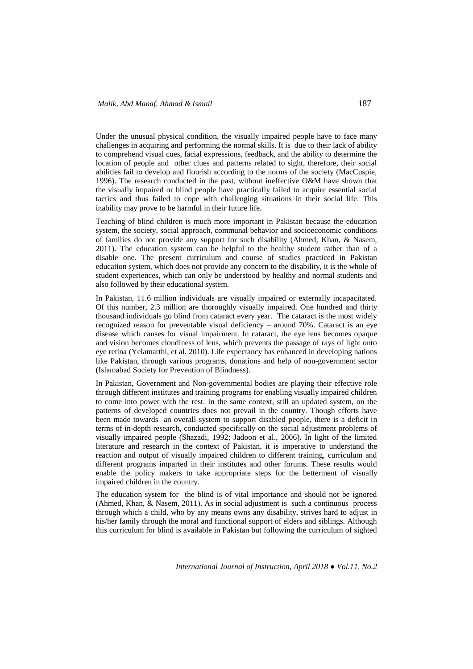Under the unusual physical condition, the visually impaired people have to face many challenges in acquiring and performing the normal skills. It is due to their lack of ability to comprehend visual cues, facial expressions, feedback, and the ability to determine the location of people and other clues and patterns related to sight, therefore, their social abilities fail to develop and flourish according to the norms of the society (MacCuspie, 1996). The research conducted in the past, without ineffective O&M have shown that the visually impaired or blind people have practically failed to acquire essential social tactics and thus failed to cope with challenging situations in their social life. This inability may prove to be harmful in their future life.

Teaching of blind children is much more important in Pakistan because the education system, the society, social approach, communal behavior and socioeconomic conditions of families do not provide any support for such disability (Ahmed, Khan, & Nasem, 2011). The education system can be helpful to the healthy student rather than of a disable one. The present curriculum and course of studies practiced in Pakistan education system, which does not provide any concern to the disability, it is the whole of student experiences, which can only be understood by healthy and normal students and also followed by their educational system.

In Pakistan, 11.6 million individuals are visually impaired or externally incapacitated. Of this number, 2.3 million are thoroughly visually impaired. One hundred and thirty thousand individuals go blind from cataract every year. The cataract is the most widely recognized reason for preventable visual deficiency – around 70%. Cataract is an eye disease which causes for visual impairment. In cataract, the eye lens becomes opaque and vision becomes cloudiness of lens, which prevents the passage of rays of light onto eye retina (Yelamarthi, et al. 2010). Life expectancy has enhanced in developing nations like Pakistan, through various programs, donations and help of non-government sector (Islamabad Society for Prevention of Blindness).

In Pakistan, Government and Non-governmental bodies are playing their effective role through different institutes and training programs for enabling visually impaired children to come into power with the rest. In the same context, still an updated system, on the patterns of developed countries does not prevail in the country. Though efforts have been made towards an overall system to support disabled people, there is a deficit in terms of in-depth research, conducted specifically on the social adjustment problems of visually impaired people (Shazadi, 1992; Jadoon et al., 2006). In light of the limited literature and research in the context of Pakistan, it is imperative to understand the reaction and output of visually impaired children to different training, curriculum and different programs imparted in their institutes and other forums. These results would enable the policy makers to take appropriate steps for the betterment of visually impaired children in the country.

The education system for the blind is of vital importance and should not be ignored (Ahmed, Khan, & Nasem, 2011). As in social adjustment is such a continuous process through which a child, who by any means owns any disability, strives hard to adjust in his/her family through the moral and functional support of elders and siblings. Although this curriculum for blind is available in Pakistan but following the curriculum of sighted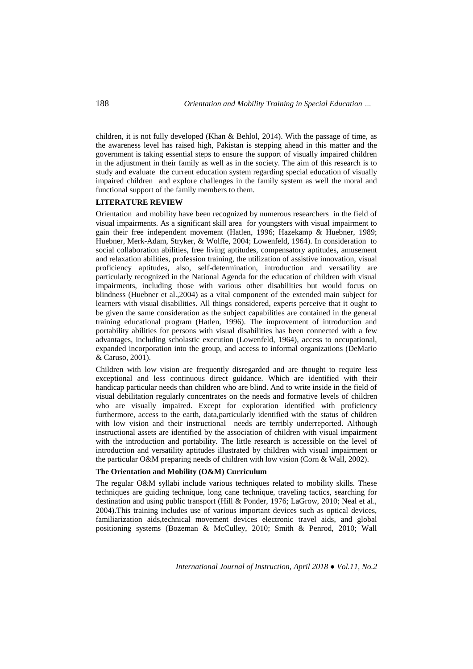children, it is not fully developed (Khan & Behlol, 2014). With the passage of time, as the awareness level has raised high, Pakistan is stepping ahead in this matter and the government is taking essential steps to ensure the support of visually impaired children in the adjustment in their family as well as in the society. The aim of this research is to study and evaluate the current education system regarding special education of visually impaired children and explore challenges in the family system as well the moral and functional support of the family members to them.

#### **LITERATURE REVIEW**

Orientation and mobility have been recognized by numerous researchers in the field of visual impairments. As a significant skill area for youngsters with visual impairment to gain their free independent movement (Hatlen, 1996; Hazekamp & Huebner, 1989; Huebner, Merk-Adam, Stryker, & Wolffe, 2004; Lowenfeld, 1964). In consideration to social collaboration abilities, free living aptitudes, compensatory aptitudes, amusement and relaxation abilities, profession training, the utilization of assistive innovation, visual proficiency aptitudes, also, self-determination, introduction and versatility are particularly recognized in the National Agenda for the education of children with visual impairments, including those with various other disabilities but would focus on blindness (Huebner et al.,2004) as a vital component of the extended main subject for learners with visual disabilities. All things considered, experts perceive that it ought to be given the same consideration as the subject capabilities are contained in the general training educational program (Hatlen, 1996). The improvement of introduction and portability abilities for persons with visual disabilities has been connected with a few advantages, including scholastic execution (Lowenfeld, 1964), access to occupational, expanded incorporation into the group, and access to informal organizations (DeMario & Caruso, 2001).

Children with low vision are frequently disregarded and are thought to require less exceptional and less continuous direct guidance. Which are identified with their handicap particular needs than children who are blind. And to write inside in the field of visual debilitation regularly concentrates on the needs and formative levels of children who are visually impaired. Except for exploration identified with proficiency furthermore, access to the earth, data,particularly identified with the status of children with low vision and their instructional needs are terribly underreported. Although instructional assets are identified by the association of children with visual impairment with the introduction and portability. The little research is accessible on the level of introduction and versatility aptitudes illustrated by children with visual impairment or the particular O&M preparing needs of children with low vision (Corn & Wall, 2002).

#### **The Orientation and Mobility (O&M) Curriculum**

The regular O&M syllabi include various techniques related to mobility skills. These techniques are guiding technique, long cane technique, traveling tactics, searching for destination and using public transport (Hill & Ponder, 1976; LaGrow, 2010; Neal et al., 2004).This training includes use of various important devices such as optical devices, familiarization aids,technical movement devices electronic travel aids, and global positioning systems (Bozeman & McCulley, 2010; Smith & Penrod, 2010; Wall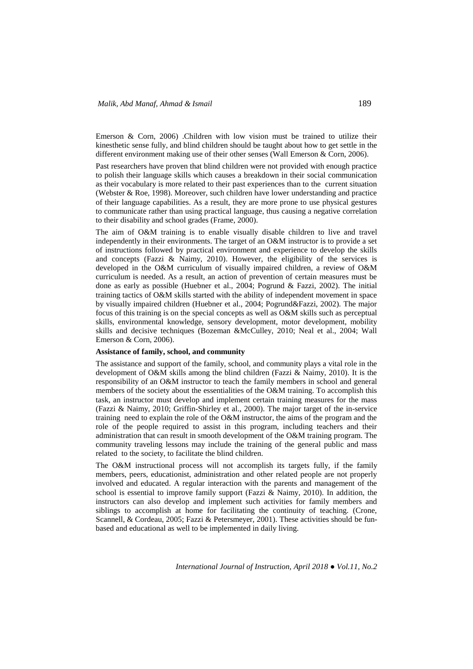Emerson & Corn, 2006) .Children with low vision must be trained to utilize their kinesthetic sense fully, and blind children should be taught about how to get settle in the different environment making use of their other senses (Wall Emerson & Corn, 2006).

Past researchers have proven that blind children were not provided with enough practice to polish their language skills which causes a breakdown in their social communication as their vocabulary is more related to their past experiences than to the current situation (Webster & Roe, 1998). Moreover, such children have lower understanding and practice of their language capabilities. As a result, they are more prone to use physical gestures to communicate rather than using practical language, thus causing a negative correlation to their disability and school grades (Frame, 2000).

The aim of O&M training is to enable visually disable children to live and travel independently in their environments. The target of an O&M instructor is to provide a set of instructions followed by practical environment and experience to develop the skills and concepts (Fazzi & Naimy, 2010). However, the eligibility of the services is developed in the O&M curriculum of visually impaired children, a review of O&M curriculum is needed. As a result, an action of prevention of certain measures must be done as early as possible (Huebner et al., 2004; Pogrund & Fazzi, 2002). The initial training tactics of O&M skills started with the ability of independent movement in space by visually impaired children (Huebner et al., 2004; Pogrund&Fazzi, 2002). The major focus of this training is on the special concepts as well as O&M skills such as perceptual skills, environmental knowledge, sensory development, motor development, mobility skills and decisive techniques (Bozeman &McCulley, 2010; Neal et al., 2004; Wall Emerson & Corn, 2006).

### **Assistance of family, school, and community**

The assistance and support of the family, school, and community plays a vital role in the development of O&M skills among the blind children (Fazzi & Naimy, 2010). It is the responsibility of an O&M instructor to teach the family members in school and general members of the society about the essentialities of the O&M training. To accomplish this task, an instructor must develop and implement certain training measures for the mass (Fazzi & Naimy, 2010; Griffin-Shirley et al., 2000). The major target of the in-service training need to explain the role of the O&M instructor, the aims of the program and the role of the people required to assist in this program, including teachers and their administration that can result in smooth development of the O&M training program. The community traveling lessons may include the training of the general public and mass related to the society, to facilitate the blind children.

The O&M instructional process will not accomplish its targets fully, if the family members, peers, educationist, administration and other related people are not properly involved and educated. A regular interaction with the parents and management of the school is essential to improve family support (Fazzi  $\&$  Naimy, 2010). In addition, the instructors can also develop and implement such activities for family members and siblings to accomplish at home for facilitating the continuity of teaching. (Crone, Scannell, & Cordeau, 2005; Fazzi & Petersmeyer, 2001). These activities should be funbased and educational as well to be implemented in daily living.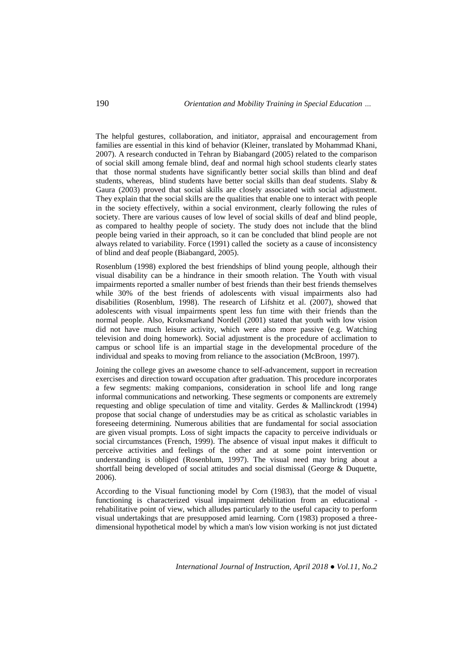The helpful gestures, collaboration, and initiator, appraisal and encouragement from families are essential in this kind of behavior (Kleiner, translated by Mohammad Khani, 2007). A research conducted in Tehran by Biabangard (2005) related to the comparison of social skill among female blind, deaf and normal high school students clearly states that those normal students have significantly better social skills than blind and deaf students, whereas, blind students have better social skills than deaf students. Slaby  $\&$ Gaura (2003) proved that social skills are closely associated with social adjustment. They explain that the social skills are the qualities that enable one to interact with people in the society effectively, within a social environment, clearly following the rules of society. There are various causes of low level of social skills of deaf and blind people, as compared to healthy people of society. The study does not include that the blind people being varied in their approach, so it can be concluded that blind people are not always related to variability. Force (1991) called the society as a cause of inconsistency of blind and deaf people (Biabangard, 2005).

Rosenblum (1998) explored the best friendships of blind young people, although their visual disability can be a hindrance in their smooth relation. The Youth with visual impairments reported a smaller number of best friends than their best friends themselves while 30% of the best friends of adolescents with visual impairments also had disabilities (Rosenblum, 1998). The research of Lifshitz et al. (2007), showed that adolescents with visual impairments spent less fun time with their friends than the normal people. Also, Kroksmarkand Nordell (2001) stated that youth with low vision did not have much leisure activity, which were also more passive (e.g. Watching television and doing homework). Social adjustment is the procedure of acclimation to campus or school life is an impartial stage in the developmental procedure of the individual and speaks to moving from reliance to the association (McBroon, 1997).

Joining the college gives an awesome chance to self-advancement, support in recreation exercises and direction toward occupation after graduation. This procedure incorporates a few segments: making companions, consideration in school life and long range informal communications and networking. These segments or components are extremely requesting and oblige speculation of time and vitality. Gerdes & Mallinckrodt (1994) propose that social change of understudies may be as critical as scholastic variables in foreseeing determining. Numerous abilities that are fundamental for social association are given visual prompts. Loss of sight impacts the capacity to perceive individuals or social circumstances (French, 1999). The absence of visual input makes it difficult to perceive activities and feelings of the other and at some point intervention or understanding is obliged (Rosenblum, 1997). The visual need may bring about a shortfall being developed of social attitudes and social dismissal (George & Duquette, 2006).

According to the Visual functioning model by Corn (1983), that the model of visual functioning is characterized visual impairment debilitation from an educational rehabilitative point of view, which alludes particularly to the useful capacity to perform visual undertakings that are presupposed amid learning. Corn (1983) proposed a threedimensional hypothetical model by which a man's low vision working is not just dictated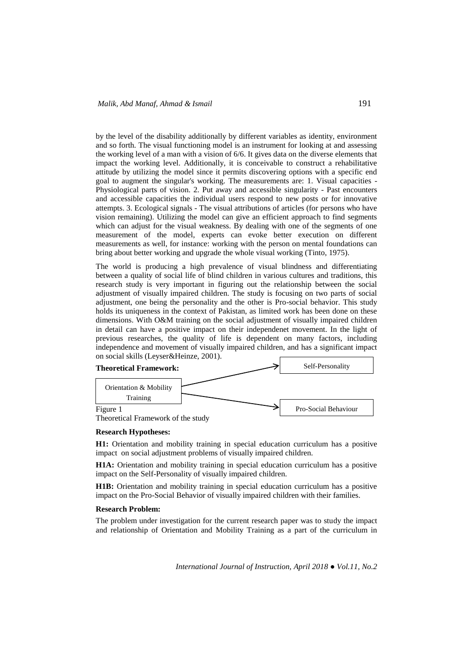by the level of the disability additionally by different variables as identity, environment and so forth. The visual functioning model is an instrument for looking at and assessing the working level of a man with a vision of 6/6. It gives data on the diverse elements that impact the working level. Additionally, it is conceivable to construct a rehabilitative attitude by utilizing the model since it permits discovering options with a specific end goal to augment the singular's working. The measurements are: 1. Visual capacities - Physiological parts of vision. 2. Put away and accessible singularity - Past encounters and accessible capacities the individual users respond to new posts or for innovative attempts. 3. Ecological signals - The visual attributions of articles (for persons who have vision remaining). Utilizing the model can give an efficient approach to find segments which can adjust for the visual weakness. By dealing with one of the segments of one measurement of the model, experts can evoke better execution on different measurements as well, for instance: working with the person on mental foundations can bring about better working and upgrade the whole visual working (Tinto, 1975).

The world is producing a high prevalence of visual blindness and differentiating between a quality of social life of blind children in various cultures and traditions, this research study is very important in figuring out the relationship between the social adjustment of visually impaired children. The study is focusing on two parts of social adjustment, one being the personality and the other is Pro-social behavior. This study holds its uniqueness in the context of Pakistan, as limited work has been done on these dimensions. With O&M training on the social adjustment of visually impaired children in detail can have a positive impact on their independenet movement. In the light of previous researches, the quality of life is dependent on many factors, including independence and movement of visually impaired children, and has a significant impact on social skills (Leyser&Heinze, 2001).



Theoretical Framework of the study

### **Research Hypotheses:**

**H1:** Orientation and mobility training in special education curriculum has a positive impact on social adjustment problems of visually impaired children.

**H1A:** Orientation and mobility training in special education curriculum has a positive impact on the Self-Personality of visually impaired children.

**H1B:** Orientation and mobility training in special education curriculum has a positive impact on the Pro-Social Behavior of visually impaired children with their families.

### **Research Problem:**

The problem under investigation for the current research paper was to study the impact and relationship of Orientation and Mobility Training as a part of the curriculum in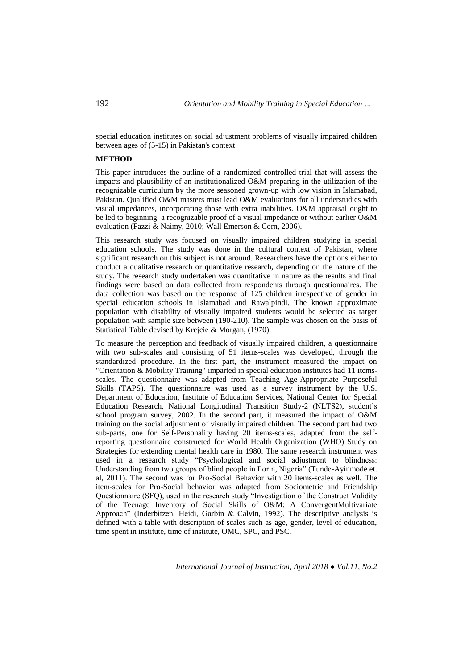special education institutes on social adjustment problems of visually impaired children between ages of (5-15) in Pakistan's context.

## **METHOD**

This paper introduces the outline of a randomized controlled trial that will assess the impacts and plausibility of an institutionalized O&M-preparing in the utilization of the recognizable curriculum by the more seasoned grown-up with low vision in Islamabad, Pakistan. Qualified O&M masters must lead O&M evaluations for all understudies with visual impedances, incorporating those with extra inabilities. O&M appraisal ought to be led to beginning a recognizable proof of a visual impedance or without earlier O&M evaluation (Fazzi & Naimy, 2010; Wall Emerson & Corn, 2006).

This research study was focused on visually impaired children studying in special education schools. The study was done in the cultural context of Pakistan, where significant research on this subject is not around. Researchers have the options either to conduct a qualitative research or quantitative research, depending on the nature of the study. The research study undertaken was quantitative in nature as the results and final findings were based on data collected from respondents through questionnaires. The data collection was based on the response of 125 children irrespective of gender in special education schools in Islamabad and Rawalpindi. The known approximate population with disability of visually impaired students would be selected as target population with sample size between (190-210). The sample was chosen on the basis of Statistical Table devised by Krejcie & Morgan, (1970).

To measure the perception and feedback of visually impaired children, a questionnaire with two sub-scales and consisting of 51 items-scales was developed, through the standardized procedure. In the first part, the instrument measured the impact on "Orientation & Mobility Training" imparted in special education institutes had 11 itemsscales. The questionnaire was adapted from Teaching Age-Appropriate Purposeful Skills (TAPS). The questionnaire was used as a survey instrument by the U.S. Department of Education, Institute of Education Services, National Center for Special Education Research, National Longitudinal Transition Study-2 (NLTS2), student's school program survey, 2002. In the second part, it measured the impact of O&M training on the social adjustment of visually impaired children. The second part had two sub-parts, one for Self-Personality having 20 items-scales, adapted from the selfreporting questionnaire constructed for World Health Organization (WHO) Study on Strategies for extending mental health care in 1980. The same research instrument was used in a research study "Psychological and social adjustment to blindness: Understanding from two groups of blind people in Ilorin, Nigeria" (Tunde-Ayinmode et. al, 2011). The second was for Pro-Social Behavior with 20 items-scales as well. The item-scales for Pro-Social behavior was adapted from Sociometric and Friendship Questionnaire (SFQ), used in the research study "Investigation of the Construct Validity of the Teenage Inventory of Social Skills of O&M: A ConvergentMultivariate Approach" (Inderbitzen, Heidi, Garbin & Calvin, 1992). The descriptive analysis is defined with a table with description of scales such as age, gender, level of education, time spent in institute, time of institute, OMC, SPC, and PSC.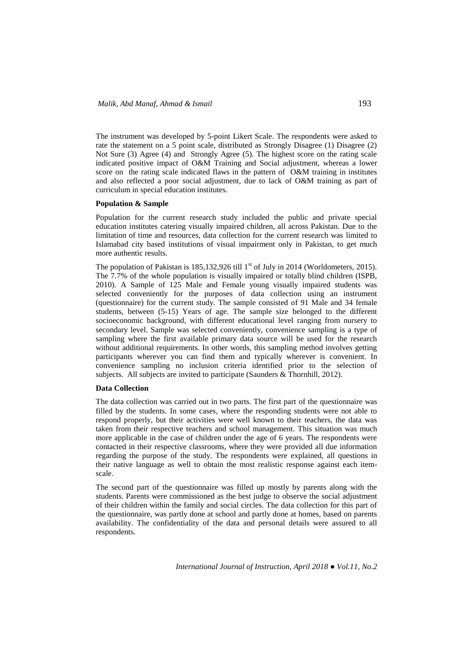The instrument was developed by 5-point Likert Scale. The respondents were asked to rate the statement on a 5 point scale, distributed as Strongly Disagree (1) Disagree (2) Not Sure (3) Agree (4) and Strongly Agree (5). The highest score on the rating scale indicated positive impact of O&M Training and Social adjustment, whereas a lower score on the rating scale indicated flaws in the pattern of O&M training in institutes and also reflected a poor social adjustment, due to lack of O&M training as part of curriculum in special education institutes.

#### **Population & Sample**

Population for the current research study included the public and private special education institutes catering visually impaired children, all across Pakistan. Due to the limitation of time and resources, data collection for the current research was limited to Islamabad city based institutions of visual impairment only in Pakistan, to get much more authentic results.

The population of Pakistan is  $185,132,926$  till  $1<sup>st</sup>$  of July in 2014 (Worldometers, 2015). The 7.7% of the whole population is visually impaired or totally blind children (ISPB, 2010). A Sample of 125 Male and Female young visually impaired students was selected conveniently for the purposes of data collection using an instrument (questionnaire) for the current study. The sample consisted of 91 Male and 34 female students, between (5-15) Years of age. The sample size belonged to the different socioeconomic background, with different educational level ranging from nursery to secondary level. Sample was selected conveniently, convenience sampling is a type of sampling where the first available primary data source will be used for the research without additional requirements. In other words, this sampling method involves getting participants wherever you can find them and typically wherever is convenient. In convenience sampling no inclusion criteria identified prior to the selection of subjects. All subjects are invited to participate (Saunders & Thornhill, 2012).

# **Data Collection**

The data collection was carried out in two parts. The first part of the questionnaire was filled by the students. In some cases, where the responding students were not able to respond properly, but their activities were well known to their teachers, the data was taken from their respective teachers and school management. This situation was much more applicable in the case of children under the age of 6 years. The respondents were contacted in their respective classrooms, where they were provided all due information regarding the purpose of the study. The respondents were explained, all questions in their native language as well to obtain the most realistic response against each itemscale.

The second part of the questionnaire was filled up mostly by parents along with the students. Parents were commissioned as the best judge to observe the social adjustment of their children within the family and social circles. The data collection for this part of the questionnaire, was partly done at school and partly done at homes, based on parents availability. The confidentiality of the data and personal details were assured to all respondents.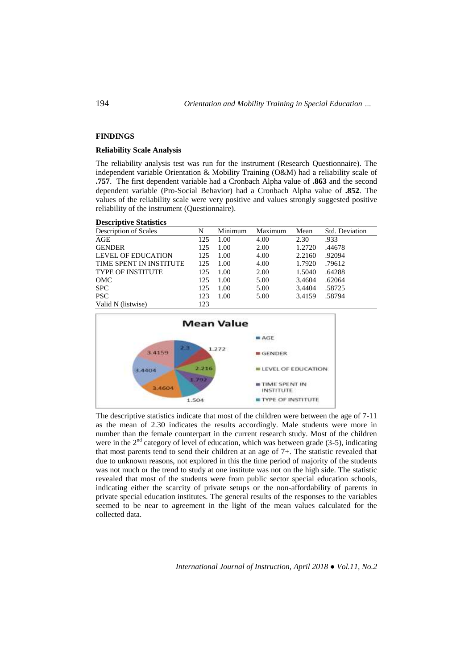# **FINDINGS**

# **Reliability Scale Analysis**

The reliability analysis test was run for the instrument (Research Questionnaire). The independent variable Orientation & Mobility Training (O&M) had a reliability scale of **.757**. The first dependent variable had a Cronbach Alpha value of **.863** and the second dependent variable (Pro-Social Behavior) had a Cronbach Alpha value of **.852**. The values of the reliability scale were very positive and values strongly suggested positive reliability of the instrument (Questionnaire).

| N   | Minimum | Maximum | Mean   | Std. Deviation |  |
|-----|---------|---------|--------|----------------|--|
| 125 | 1.00    | 4.00    | 2.30   | .933           |  |
| 125 | 1.00    | 2.00    | 1.2720 | .44678         |  |
| 125 | 1.00    | 4.00    | 2.2160 | .92094         |  |
| 125 | 1.00    | 4.00    | 1.7920 | .79612         |  |
| 125 | 1.00    | 2.00    | 1.5040 | .64288         |  |
| 125 | 1.00    | 5.00    | 3.4604 | .62064         |  |
| 125 | 1.00    | 5.00    | 3.4404 | .58725         |  |
| 123 | 1.00    | 5.00    | 3.4159 | .58794         |  |
|     |         |         |        |                |  |



The descriptive statistics indicate that most of the children were between the age of 7-11 as the mean of 2.30 indicates the results accordingly. Male students were more in number than the female counterpart in the current research study. Most of the children were in the  $2<sup>nd</sup>$  category of level of education, which was between grade (3-5), indicating that most parents tend to send their children at an age of 7+. The statistic revealed that due to unknown reasons, not explored in this the time period of majority of the students was not much or the trend to study at one institute was not on the high side. The statistic revealed that most of the students were from public sector special education schools, indicating either the scarcity of private setups or the non-affordability of parents in private special education institutes. The general results of the responses to the variables seemed to be near to agreement in the light of the mean values calculated for the collected data.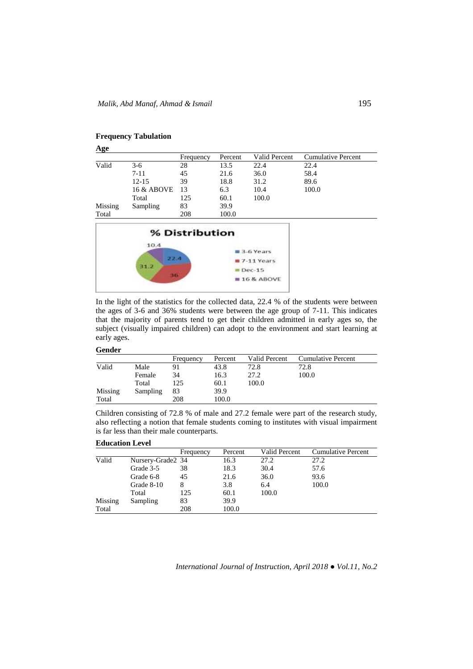# **Frequency Tabulation**

**Age**

|            | Frequency | Percent | Valid Percent  | <b>Cumulative Percent</b> |
|------------|-----------|---------|----------------|---------------------------|
| $3-6$      | 28        | 13.5    | 22.4           | 22.4                      |
| $7 - 11$   | 45        | 21.6    | 36.0           | 58.4                      |
| $12 - 15$  | 39        | 18.8    | 31.2           | 89.6                      |
| 16 & ABOVE | 13        | 6.3     | 10.4           | 100.0                     |
| Total      | 125       | 60.1    | 100.0          |                           |
| Sampling   | 83        | 39.9    |                |                           |
|            | 208       | 100.0   |                |                           |
|            |           |         |                |                           |
|            |           |         | % Distribution |                           |



In the light of the statistics for the collected data, 22.4 % of the students were between the ages of 3-6 and 36% students were between the age group of 7-11. This indicates that the majority of parents tend to get their children admitted in early ages so, the subject (visually impaired children) can adopt to the environment and start learning at early ages.

### **Gender**

|         |          | Frequency | Percent | Valid Percent | <b>Cumulative Percent</b> |
|---------|----------|-----------|---------|---------------|---------------------------|
| Valid   | Male     | 91        | 43.8    | 72.8          | 72.8                      |
|         | Female   | 34        | 16.3    | 27.2          | 100.0                     |
|         | Total    | 125       | 60.1    | 100.0         |                           |
| Missing | Sampling | 83        | 39.9    |               |                           |
| Total   |          | 208       | 100.0   |               |                           |

Children consisting of 72.8 % of male and 27.2 female were part of the research study, also reflecting a notion that female students coming to institutes with visual impairment is far less than their male counterparts.

### **Education Level**

|         |                   | Frequency | Percent | Valid Percent | <b>Cumulative Percent</b> |
|---------|-------------------|-----------|---------|---------------|---------------------------|
| Valid   | Nursery-Grade2 34 |           | 16.3    | 27.2          | 27.2                      |
|         | Grade 3-5         | 38        | 18.3    | 30.4          | 57.6                      |
|         | Grade 6-8         | 45        | 21.6    | 36.0          | 93.6                      |
|         | Grade 8-10        | 8         | 3.8     | 6.4           | 100.0                     |
|         | Total             | 125       | 60.1    | 100.0         |                           |
| Missing | Sampling          | 83        | 39.9    |               |                           |
| Total   |                   | 208       | 100.0   |               |                           |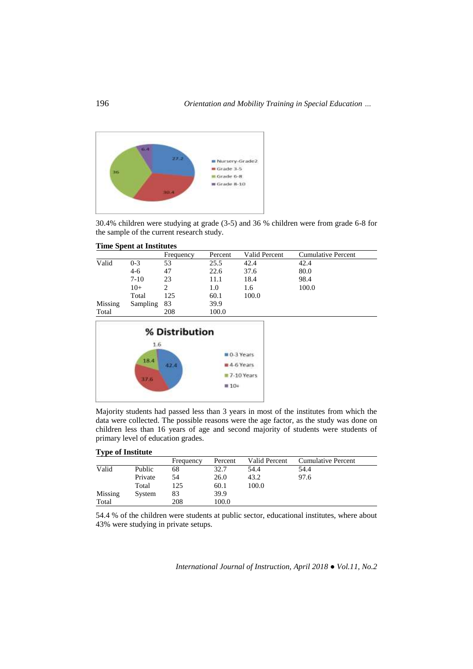

30.4% children were studying at grade (3-5) and 36 % children were from grade 6-8 for the sample of the current research study.

|  |  |  | <b>Time Spent at Institutes</b> |
|--|--|--|---------------------------------|
|--|--|--|---------------------------------|

|         |          | Frequency | Percent | Valid Percent | <b>Cumulative Percent</b> |
|---------|----------|-----------|---------|---------------|---------------------------|
| Valid   | $0 - 3$  | 53        | 25.5    | 42.4          | 42.4                      |
|         | $4-6$    | 47        | 22.6    | 37.6          | 80.0                      |
|         | $7-10$   | 23        | 11.1    | 18.4          | 98.4                      |
|         | $10+$    |           | 1.0     | 1.6           | 100.0                     |
|         | Total    | 125       | 60.1    | 100.0         |                           |
| Missing | Sampling | 83        | 39.9    |               |                           |
| Total   |          | 208       | 100.0   |               |                           |



Majority students had passed less than 3 years in most of the institutes from which the data were collected. The possible reasons were the age factor, as the study was done on children less than 16 years of age and second majority of students were students of primary level of education grades.

## **Type of Institute**

|         |         | Frequency | Percent | Valid Percent | <b>Cumulative Percent</b> |
|---------|---------|-----------|---------|---------------|---------------------------|
| Valid   | Public  | 68        | 32.7    | 54.4          | 54.4                      |
|         | Private | 54        | 26.0    | 43.2          | 97.6                      |
|         | Total   | 125       | 60.1    | 100.0         |                           |
| Missing | System  | 83        | 39.9    |               |                           |
| Total   |         | 208       | 100.0   |               |                           |

54.4 % of the children were students at public sector, educational institutes, where about 43% were studying in private setups.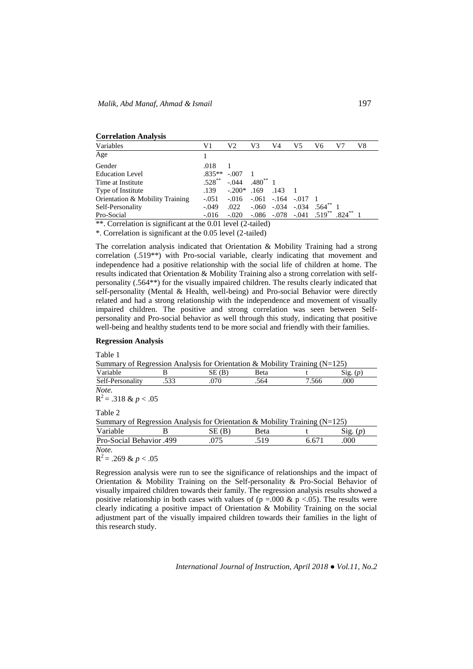| <b>Correlation Analysis</b>                                          |           |                                             |               |        |                        |    |      |    |
|----------------------------------------------------------------------|-----------|---------------------------------------------|---------------|--------|------------------------|----|------|----|
| Variables                                                            | V1        | V2                                          | V3            | V4     | V5                     | V6 | V7   | V8 |
| Age                                                                  |           |                                             |               |        |                        |    |      |    |
| Gender                                                               | .018      |                                             |               |        |                        |    |      |    |
| <b>Education Level</b>                                               | $.835**$  | $-.007$                                     |               |        |                        |    |      |    |
| Time at Institute                                                    | $.528***$ | $-.044$                                     | $.480^{**}$ 1 |        |                        |    |      |    |
| Type of Institute                                                    | .139      | $-.200*$                                    | .169          | .143   |                        |    |      |    |
| Orientation & Mobility Training                                      | $-.051$   | $-.016$                                     | $-.061$       | $-164$ | $-.017$                |    |      |    |
| Self-Personality                                                     | $-.049$   | .022                                        |               |        | -.060 -.034 -.034 .564 |    |      |    |
| Pro-Social                                                           | $-0.016$  | $-.020$ $-.086$ $-.078$ $-.041$ $.519^{**}$ |               |        |                        |    | .824 |    |
| $**$ Completion is significant at the 0.01 lavel $(2 \text{ total})$ |           |                                             |               |        |                        |    |      |    |

. Correlation is significant at the 0.01 level (2-tailed)

\*. Correlation is significant at the 0.05 level (2-tailed)

The correlation analysis indicated that Orientation & Mobility Training had a strong correlation (.519\*\*) with Pro-social variable, clearly indicating that movement and independence had a positive relationship with the social life of children at home. The results indicated that Orientation & Mobility Training also a strong correlation with selfpersonality (.564\*\*) for the visually impaired children. The results clearly indicated that self-personality (Mental & Health, well-being) and Pro-social Behavior were directly related and had a strong relationship with the independence and movement of visually impaired children. The positive and strong correlation was seen between Selfpersonality and Pro-social behavior as well through this study, indicating that positive well-being and healthy students tend to be more social and friendly with their families.

## **Regression Analysis**

Table 1

| Summary of Regression Analysis for Orientation & Mobility Training $(N=125)$ |  |        |      |       |                               |  |  |
|------------------------------------------------------------------------------|--|--------|------|-------|-------------------------------|--|--|
| Variable                                                                     |  | SE (B) | Beta |       | $\mathrm{Sig.}\left(p\right)$ |  |  |
| Self-Personality                                                             |  | 070    | 564  | 7.566 | 000                           |  |  |

*Note.*  $R^2$  = .318 & p < .05

Table 2

Summary of Regression Analysis for Orientation & Mobility Training (N=125)

| Variable                 |  | 'ata | ∡1 ∩⊤ |
|--------------------------|--|------|-------|
| Pro-Social Behavior .499 |  | 510  | 000   |
| . .                      |  |      |       |

*Note.*

 $R^2$  = .269 & p < .05

Regression analysis were run to see the significance of relationships and the impact of Orientation & Mobility Training on the Self-personality & Pro-Social Behavior of visually impaired children towards their family. The regression analysis results showed a positive relationship in both cases with values of ( $p = .000 \& p < .05$ ). The results were clearly indicating a positive impact of Orientation & Mobility Training on the social adjustment part of the visually impaired children towards their families in the light of this research study.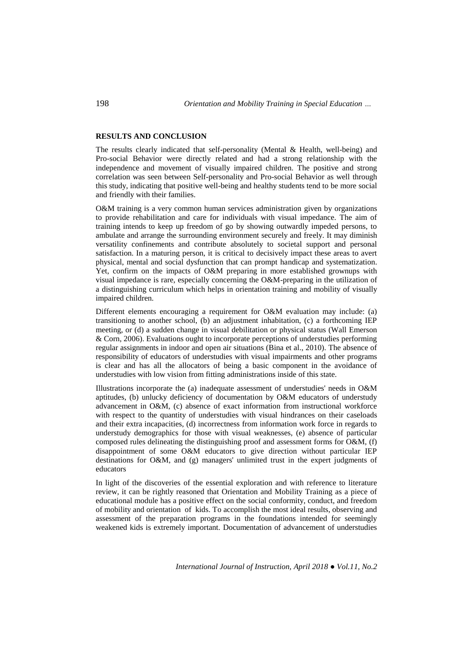## **RESULTS AND CONCLUSION**

The results clearly indicated that self-personality (Mental & Health, well-being) and Pro-social Behavior were directly related and had a strong relationship with the independence and movement of visually impaired children. The positive and strong correlation was seen between Self-personality and Pro-social Behavior as well through this study, indicating that positive well-being and healthy students tend to be more social and friendly with their families.

O&M training is a very common human services administration given by organizations to provide rehabilitation and care for individuals with visual impedance. The aim of training intends to keep up freedom of go by showing outwardly impeded persons, to ambulate and arrange the surrounding environment securely and freely. It may diminish versatility confinements and contribute absolutely to societal support and personal satisfaction. In a maturing person, it is critical to decisively impact these areas to avert physical, mental and social dysfunction that can prompt handicap and systematization. Yet, confirm on the impacts of O&M preparing in more established grownups with visual impedance is rare, especially concerning the O&M-preparing in the utilization of a distinguishing curriculum which helps in orientation training and mobility of visually impaired children.

Different elements encouraging a requirement for O&M evaluation may include: (a) transitioning to another school, (b) an adjustment inhabitation, (c) a forthcoming IEP meeting, or (d) a sudden change in visual debilitation or physical status (Wall Emerson & Corn, 2006). Evaluations ought to incorporate perceptions of understudies performing regular assignments in indoor and open air situations (Bina et al., 2010). The absence of responsibility of educators of understudies with visual impairments and other programs is clear and has all the allocators of being a basic component in the avoidance of understudies with low vision from fitting administrations inside of this state.

Illustrations incorporate the (a) inadequate assessment of understudies' needs in O&M aptitudes, (b) unlucky deficiency of documentation by O&M educators of understudy advancement in O&M, (c) absence of exact information from instructional workforce with respect to the quantity of understudies with visual hindrances on their caseloads and their extra incapacities, (d) incorrectness from information work force in regards to understudy demographics for those with visual weaknesses, (e) absence of particular composed rules delineating the distinguishing proof and assessment forms for O&M, (f) disappointment of some O&M educators to give direction without particular IEP destinations for O&M, and (g) managers' unlimited trust in the expert judgments of educators

In light of the discoveries of the essential exploration and with reference to literature review, it can be rightly reasoned that Orientation and Mobility Training as a piece of educational module has a positive effect on the social conformity, conduct, and freedom of mobility and orientation of kids. To accomplish the most ideal results, observing and assessment of the preparation programs in the foundations intended for seemingly weakened kids is extremely important. Documentation of advancement of understudies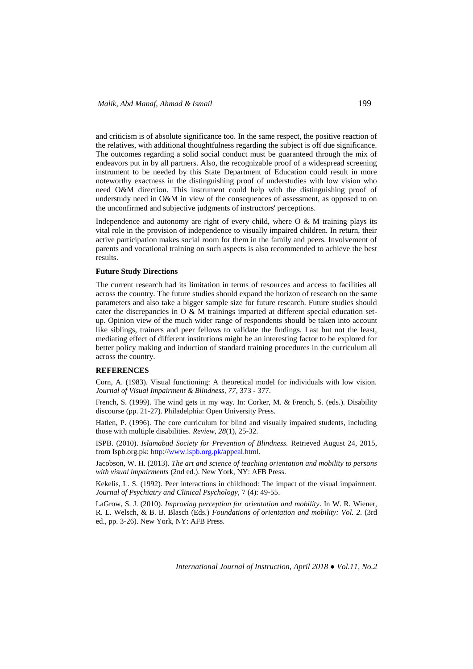and criticism is of absolute significance too. In the same respect, the positive reaction of the relatives, with additional thoughtfulness regarding the subject is off due significance. The outcomes regarding a solid social conduct must be guaranteed through the mix of endeavors put in by all partners. Also, the recognizable proof of a widespread screening instrument to be needed by this State Department of Education could result in more noteworthy exactness in the distinguishing proof of understudies with low vision who need O&M direction. This instrument could help with the distinguishing proof of understudy need in O&M in view of the consequences of assessment, as opposed to on the unconfirmed and subjective judgments of instructors' perceptions.

Independence and autonomy are right of every child, where O & M training plays its vital role in the provision of independence to visually impaired children. In return, their active participation makes social room for them in the family and peers. Involvement of parents and vocational training on such aspects is also recommended to achieve the best results.

### **Future Study Directions**

The current research had its limitation in terms of resources and access to facilities all across the country. The future studies should expand the horizon of research on the same parameters and also take a bigger sample size for future research. Future studies should cater the discrepancies in  $\overline{O} \& M$  trainings imparted at different special education setup. Opinion view of the much wider range of respondents should be taken into account like siblings, trainers and peer fellows to validate the findings. Last but not the least, mediating effect of different institutions might be an interesting factor to be explored for better policy making and induction of standard training procedures in the curriculum all across the country.

# **REFERENCES**

Corn, A. (1983). Visual functioning: A theoretical model for individuals with low vision. *Journal of Visual Impairment & Blindness, 77*, 373 - 377.

French, S. (1999). The wind gets in my way. In: Corker, M. & French, S. (eds.). Disability discourse (pp. 21-27). Philadelphia: Open University Press.

Hatlen, P. (1996). The core curriculum for blind and visually impaired students, including those with multiple disabilities. *Review, 28*(1), 25-32.

ISPB. (2010). *Islamabad Society for Prevention of Blindness.* Retrieved August 24, 2015, from Ispb.org.pk[: http://www.ispb.org.pk/appeal.html.](http://www.ispb.org.pk/appeal.html)

Jacobson, W. H. (2013). *The art and science of teaching orientation and mobility to persons with visual impairments* (2nd ed.). New York, NY: AFB Press.

Kekelis, L. S. (1992). Peer interactions in childhood: The impact of the visual impairment. *Journal of Psychiatry and Clinical Psychology,* 7 (4): 49-55.

LaGrow, S. J. (2010). *Improving perception for orientation and mobility*. In W. R. Wiener, R. L. Welsch, & B. B. Blasch (Eds.) *Foundations of orientation and mobility: Vol. 2*. (3rd ed., pp. 3-26). New York, NY: AFB Press.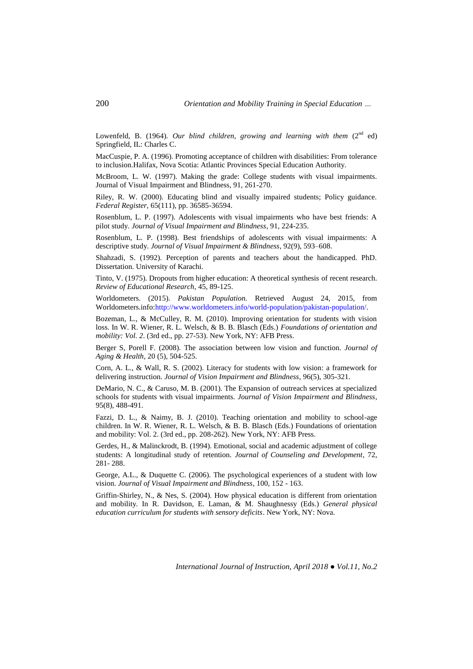Lowenfeld, B. (1964). *Our blind children, growing and learning with them* (2<sup>nd</sup> ed) Springfield, IL: Charles C.

MacCuspie, P. A. (1996). Promoting acceptance of children with disabilities: From tolerance to inclusion.Halifax, Nova Scotia: Atlantic Provinces Special Education Authority.

McBroom, L. W. (1997). Making the grade: College students with visual impairments. Journal of Visual Impairment and Blindness, 91, 261-270.

Riley, R. W. (2000). Educating blind and visually impaired students; Policy guidance. *Federal Register,* 65(111), pp. 36585-36594.

Rosenblum, L. P. (1997). Adolescents with visual impairments who have best friends: A pilot study. *Journal of Visual Impairment and Blindness*, 91, 224-235.

Rosenblum, L. P. (1998). Best friendships of adolescents with visual impairments: A descriptive study. *Journal of Visual Impairment & Blindness*, 92(9), 593–608.

Shahzadi, S. (1992). Perception of parents and teachers about the handicapped. PhD. Dissertation. University of Karachi.

Tinto, V. (1975). Dropouts from higher education: A theoretical synthesis of recent research. *Review of Educational Research*, 45, 89-125.

Worldometers. (2015). *Pakistan Population.* Retrieved August 24, 2015, from Worldometers.info[:http://www.worldometers.info/world-population/pakistan-population/.](http://www.worldometers.info/world-population/pakistan-population/)

Bozeman, L., & McCulley, R. M. (2010). Improving orientation for students with vision loss. In W. R. Wiener, R. L. Welsch, & B. B. Blasch (Eds.) *Foundations of orientation and mobility: Vol. 2*. (3rd ed., pp. 27-53). New York, NY: AFB Press.

Berger S, Porell F. (2008). The association between low vision and function. *Journal of Aging & Health,* 20 (5), 504-525.

Corn, A. L., & Wall, R. S. (2002). Literacy for students with low vision: a framework for delivering instruction. *Journal of Vision Impairment and Blindness*, 96(5), 305-321.

DeMario, N. C., & Caruso, M. B. (2001). The Expansion of outreach services at specialized schools for students with visual impairments. *Journal of Vision Impairment and Blindness*, 95(8), 488-491.

Fazzi, D. L., & Naimy, B. J. (2010). Teaching orientation and mobility to school-age children. In W. R. Wiener, R. L. Welsch, & B. B. Blasch (Eds.) Foundations of orientation and mobility: Vol. 2. (3rd ed., pp. 208-262). New York, NY: AFB Press.

Gerdes, H., & Malinckrodt, B. (1994). Emotional, social and academic adjustment of college students: A longitudinal study of retention. *Journal of Counseling and Development*, 72, 281- 288.

George, A.L., & Duquette C. (2006). The psychological experiences of a student with low vision. *Journal of Visual Impairment and Blindness*, 100, 152 - 163.

Griffin-Shirley, N., & Nes, S. (2004). How physical education is different from orientation and mobility. In R. Davidson, E. Laman, & M. Shaughnessy (Eds.) *General physical education curriculum for students with sensory deficits*. New York, NY: Nova.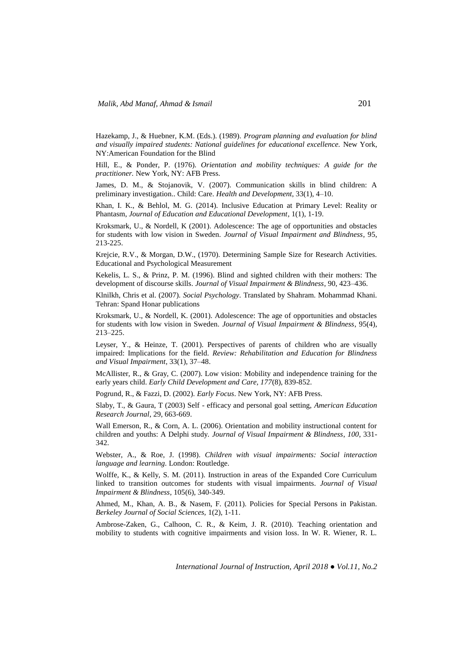Hazekamp, J., & Huebner, K.M. (Eds.). (1989). *Program planning and evaluation for blind and visually impaired students: National guidelines for educational excellence.* New York, NY:American Foundation for the Blind

Hill, E., & Ponder, P. (1976). *Orientation and mobility techniques: A guide for the practitioner.* New York, NY: AFB Press.

James, D. M., & Stojanovik, V. (2007). Communication skills in blind children: A preliminary investigation.. Child: Care. *Health and Development*, 33(1), 4–10.

Khan, I. K., & Behlol, M. G. (2014). Inclusive Education at Primary Level: Reality or Phantasm, *Journal of Education and Educational Development*, 1(1), 1-19.

Kroksmark, U., & Nordell, K (2001). Adolescence: The age of opportunities and obstacles for students with low vision in Sweden. *Journal of Visual Impairment and Blindness*, 95, 213-225.

Krejcie, R.V., & Morgan, D.W., (1970). Determining Sample Size for Research Activities. Educational and Psychological Measurement

Kekelis, L. S., & Prinz, P. M. (1996). Blind and sighted children with their mothers: The development of discourse skills. *Journal of Visual Impairment & Blindness*, 90, 423–436.

Klnilkh, Chris et al. (2007). *Social Psychology*. Translated by Shahram. Mohammad Khani. Tehran: Spand Honar publications

Kroksmark, U., & Nordell, K. (2001). Adolescence: The age of opportunities and obstacles for students with low vision in Sweden. *Journal of Visual Impairment & Blindness*, 95(4), 213–225.

Leyser, Y., & Heinze, T. (2001). Perspectives of parents of children who are visually impaired: Implications for the field. *Review: Rehabilitation and Education for Blindness and Visual Impairment*, 33(1), 37–48.

McAllister, R., & Gray, C. (2007). Low vision: Mobility and independence training for the early years child. *Early Child Development and Care, 177*(8), 839-852.

Pogrund, R., & Fazzi, D. (2002). *Early Focus*. New York, NY: AFB Press.

Slaby, T., & Gaura, T (2003) Self - efficacy and personal goal setting, *American Education Research Journal*, 29, 663-669.

Wall Emerson, R., & Corn, A. L. (2006). Orientation and mobility instructional content for children and youths: A Delphi study. *Journal of Visual Impairment & Blindness*, *100*, 331- 342.

Webster, A., & Roe, J. (1998). *Children with visual impairments: Social interaction language and learning.* London: Routledge.

Wolffe, K., & Kelly, S. M. (2011). Instruction in areas of the Expanded Core Curriculum linked to transition outcomes for students with visual impairments. *Journal of Visual Impairment & Blindness*, 105(6), 340-349.

Ahmed, M., Khan, A. B., & Nasem, F. (2011). Policies for Special Persons in Pakistan. *Berkeley Journal of Social Sciences,* 1(2), 1-11.

Ambrose-Zaken, G., Calhoon, C. R., & Keim, J. R. (2010). Teaching orientation and mobility to students with cognitive impairments and vision loss. In W. R. Wiener, R. L.